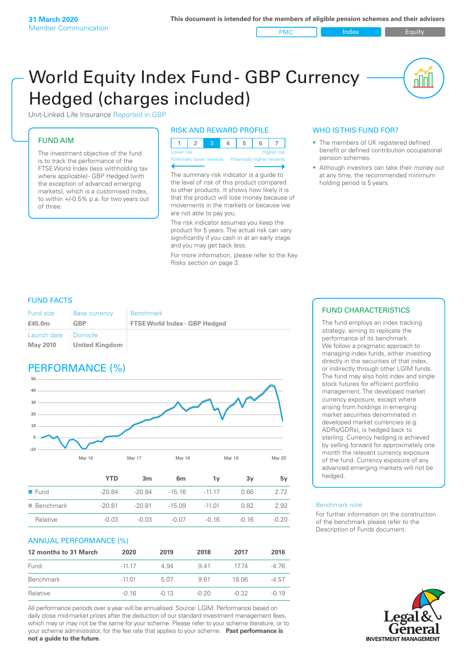PMC Index PMC Equity

nnl

# World Equity Index Fund- GBP Currency Hedged (charges included)



## FUND AIM

The investment objective of the fund is to track the performance of the FTSE World Index (less withholding tax where applicable) - GBP Hedged (with the exception of advanced emerging markets), which is a customised index, to within +/‑0.5% p.a. for two years out of three.

#### RISK AND REWARD PROFILE

| Lower risk |  |  | Higher risk |
|------------|--|--|-------------|

Potentially lower rewards Potentially higher re

The summary risk indicator is a guide to the level of risk of this product compared to other products. It shows how likely it is that the product will lose money because of movements in the markets or because we are not able to pay you.

The risk indicator assumes you keep the product for 5 years. The actual risk can vary significantly if you cash in at an early stage and you may get back less.

For more information, please refer to the Key Risks section on page 3.

### WHO IS THIS FUND FOR?

- The members of UK registered defined benefit or defined contribution occupational pension schemes.
- Although investors can take their money out at any time, the recommended minimum holding period is 5 years.

### FUND FACTS

| <b>Fund size</b>        | <b>Base currency</b>       | <b>Benchmark</b>                     |
|-------------------------|----------------------------|--------------------------------------|
| £45.0m                  | GBP                        | <b>FTSE World Index - GBP Hedged</b> |
| Launch date<br>May 2010 | Domicile<br>United Kingdom |                                      |

# PERFORMANCE (%)



|                          | YTD      | 3m       | 6 <sub>m</sub> | 1v       | 3v      | 5v      |
|--------------------------|----------|----------|----------------|----------|---------|---------|
| $\blacksquare$ Fund      | $-20.84$ | -20.84   | $-15.16$       | $-1117$  | 0.66    | 2 72    |
| $\blacksquare$ Benchmark | $-20.81$ | $-20.81$ | $-15.09$       | $-11.01$ | 0.82    | 2.92    |
| Relative                 | $-0.03$  | $-0.03$  | $-0.07$        | $-0.16$  | $-0.16$ | $-0.20$ |

#### ANNUAL PERFORMANCE (%)

| 12 months to 31 March | 2020     | 2019    | 2018    | 2017    | 2016    |
|-----------------------|----------|---------|---------|---------|---------|
| Fund                  | $-1117$  | 4.94    | 941     | 1774    | $-4.76$ |
| Benchmark             | $-11.01$ | 5.07    | 961     | 18.06   | $-4.57$ |
| Relative              | $-0.16$  | $-0.13$ | $-0.20$ | $-0.32$ | $-0.19$ |

All performance periods over a year will be annualised. Source: LGIM. Performance based on daily close mid-market prices after the deduction of our standard investment management fees, which may or may not be the same for your scheme. Please refer to your scheme literature, or to your scheme administrator, for the fee rate that applies to your scheme. **Past performance is not a guide to the future.**

#### FUND CHARACTERISTICS

The fund employs an index tracking strategy, aiming to replicate the performance of its benchmark. We follow a pragmatic approach to managing index funds, either investing directly in the securities of that index, or indirectly through other LGIM funds. The fund may also hold index and single stock futures for efficient portfolio management. The developed market currency exposure, except where arising from holdings in emerging market securities denominated in developed market currencies (e.g. ADRs/GDRs), is hedged back to sterling. Currency hedging is achieved by selling forward for approximately one month the relevant currency exposure of the fund. Currency exposure of any advanced emerging markets will not be hedged.

#### Benchmark note

For further information on the construction of the benchmark please refer to the Description of Funds document.

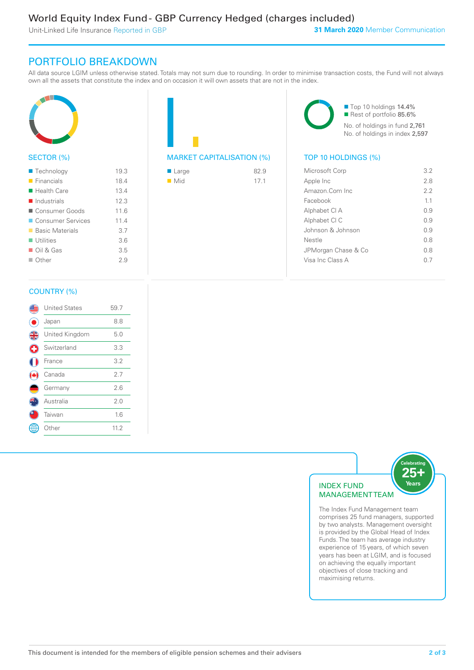Unit-Linked Life Insurance Reported in GBP

# PORTFOLIO BREAKDOWN

All data source LGIM unless otherwise stated. Totals may not sum due to rounding. In order to minimise transaction costs, the Fund will not always own all the assets that constitute the index and on occasion it will own assets that are not in the index.



#### SECTOR (%)

| $\blacksquare$ Technology  | 19.3 |
|----------------------------|------|
| $\blacksquare$ Financials  | 18.4 |
| $\blacksquare$ Health Care | 13.4 |
| Industrials                | 12.3 |
| ■ Consumer Goods           | 11.6 |
| ■ Consumer Services        | 11.4 |
| ■ Basic Materials          | 3.7  |
| $\blacksquare$ Utilities   | 3.6  |
| $\Box$ Oil & Gas           | 3.5  |
| $\Box$ Other               | 29   |
|                            |      |



| $\blacksquare$ Large | 82.9 |
|----------------------|------|
| $\blacksquare$ Mid   | 17.1 |

■ Top 10 holdings 14.4% Rest of portfolio 85.6% No. of holdings in fund 2,761 No. of holdings in index 2,597

| Microsoft Corp      | 32  |
|---------------------|-----|
| Apple Inc           | 2.8 |
| Amazon Com Inc.     | 22  |
| Facebook            | 11  |
| Alphabet CI A       | O 9 |
| Alphabet CI C       | O 9 |
| Johnson & Johnson   | O 9 |
| Nestle              | 0 S |
| JPMorgan Chase & Co | 0 S |
| Visa Inc Class A    |     |
|                     |     |

#### COUNTRY (%)

|               | <b>United States</b> | 59.7 |  |
|---------------|----------------------|------|--|
|               | Japan                | 8.8  |  |
| $\frac{4}{3}$ | United Kingdom       | 5.0  |  |
| G             | Switzerland          | 3.3  |  |
|               | France               | 3.2  |  |
|               | Canada               | 2.7  |  |
|               | Germany              | 2.6  |  |
|               | Australia            | 2.0  |  |
|               | Taiwan               | 1.6  |  |
|               | : Other              | 11.2 |  |
|               |                      |      |  |



comprises 25 fund managers, supported by two analysts. Management oversight is provided by the Global Head of Index Funds. The team has average industry experience of 15 years, of which seven years has been at LGIM, and is focused on achieving the equally important objectives of close tracking and maximising returns.